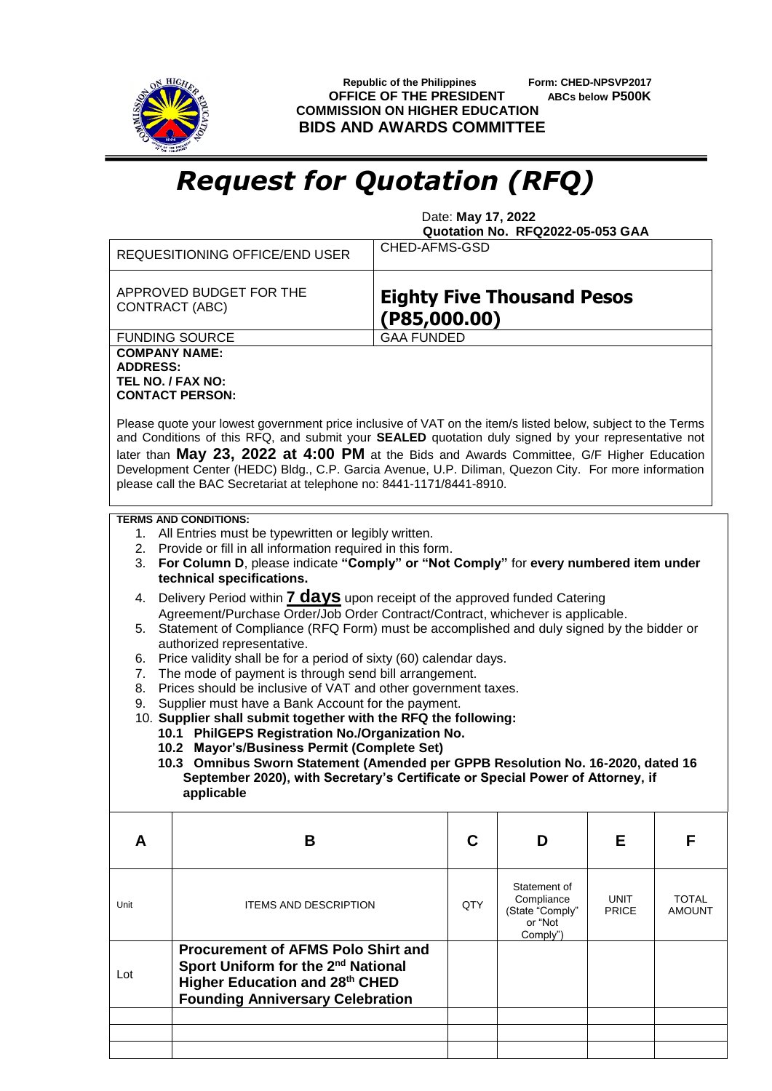

 **Republic of the Philippines Form: CHED-NPSVP2017 OFFICE OF THE PRESIDENT ABCs below P500K COMMISSION ON HIGHER EDUCATION BIDS AND AWARDS COMMITTEE**

## *Request for Quotation (RFQ)*

 Date: **May 17, 2022 Quotation No. RFQ2022-05-053 GAA**

| CHED-AFMS-GSD                                                                                                                                                                                                                                                                                                                                                                                                                                                                                                                                                                                                       |  |  |  |  |  |
|---------------------------------------------------------------------------------------------------------------------------------------------------------------------------------------------------------------------------------------------------------------------------------------------------------------------------------------------------------------------------------------------------------------------------------------------------------------------------------------------------------------------------------------------------------------------------------------------------------------------|--|--|--|--|--|
| <b>Eighty Five Thousand Pesos</b><br>(PS5,000.00)                                                                                                                                                                                                                                                                                                                                                                                                                                                                                                                                                                   |  |  |  |  |  |
| <b>GAA FUNDED</b>                                                                                                                                                                                                                                                                                                                                                                                                                                                                                                                                                                                                   |  |  |  |  |  |
| <b>FUNDING SOURCE</b><br><b>COMPANY NAME:</b><br><b>ADDRESS:</b><br>TEL NO. / FAX NO:<br><b>CONTACT PERSON:</b><br>Please quote your lowest government price inclusive of VAT on the item/s listed below, subject to the Terms<br>and Conditions of this RFQ, and submit your SEALED quotation duly signed by your representative not<br>later than May 23, 2022 at 4:00 PM at the Bids and Awards Committee, G/F Higher Education<br>Development Center (HEDC) Bldg., C.P. Garcia Avenue, U.P. Diliman, Quezon City. For more information<br>please call the BAC Secretariat at telephone no: 8441-1171/8441-8910. |  |  |  |  |  |
| <b>TERMS AND CONDITIONS:</b><br>1. All Entries must be typewritten or legibly written.<br>2. Provide or fill in all information required in this form.<br>For Column D, please indicate "Comply" or "Not Comply" for every numbered item under<br>3.<br>technical specifications.                                                                                                                                                                                                                                                                                                                                   |  |  |  |  |  |
| Delivery Period within <b>7 days</b> upon receipt of the approved funded Catering<br>4.                                                                                                                                                                                                                                                                                                                                                                                                                                                                                                                             |  |  |  |  |  |
| Agreement/Purchase Order/Job Order Contract/Contract, whichever is applicable.<br>Statement of Compliance (RFQ Form) must be accomplished and duly signed by the bidder or<br>5.                                                                                                                                                                                                                                                                                                                                                                                                                                    |  |  |  |  |  |
| authorized representative.<br>Price validity shall be for a period of sixty (60) calendar days.<br>6.<br>The mode of payment is through send bill arrangement.<br>7.<br>Prices should be inclusive of VAT and other government taxes.<br>8.<br>Supplier must have a Bank Account for the payment.<br>9.                                                                                                                                                                                                                                                                                                             |  |  |  |  |  |
| 10. Supplier shall submit together with the RFQ the following:<br>10.1 PhilGEPS Registration No./Organization No.                                                                                                                                                                                                                                                                                                                                                                                                                                                                                                   |  |  |  |  |  |
| 10.2 Mayor's/Business Permit (Complete Set)                                                                                                                                                                                                                                                                                                                                                                                                                                                                                                                                                                         |  |  |  |  |  |
| 10.3 Omnibus Sworn Statement (Amended per GPPB Resolution No. 16-2020, dated 16<br>September 2020), with Secretary's Certificate or Special Power of Attorney, if<br>applicable                                                                                                                                                                                                                                                                                                                                                                                                                                     |  |  |  |  |  |
| C<br>D<br>F<br>F                                                                                                                                                                                                                                                                                                                                                                                                                                                                                                                                                                                                    |  |  |  |  |  |
| Statement of<br>Compliance<br><b>UNIT</b><br><b>TOTAL</b><br>QTY<br>(State "Comply"<br><b>PRICE</b><br><b>AMOUNT</b><br>or "Not<br>Comply")                                                                                                                                                                                                                                                                                                                                                                                                                                                                         |  |  |  |  |  |
|                                                                                                                                                                                                                                                                                                                                                                                                                                                                                                                                                                                                                     |  |  |  |  |  |
| <b>Procurement of AFMS Polo Shirt and</b><br>Sport Uniform for the 2 <sup>nd</sup> National<br>Higher Education and 28th CHED<br><b>Founding Anniversary Celebration</b>                                                                                                                                                                                                                                                                                                                                                                                                                                            |  |  |  |  |  |
|                                                                                                                                                                                                                                                                                                                                                                                                                                                                                                                                                                                                                     |  |  |  |  |  |
| <b>ITEMS AND DESCRIPTION</b>                                                                                                                                                                                                                                                                                                                                                                                                                                                                                                                                                                                        |  |  |  |  |  |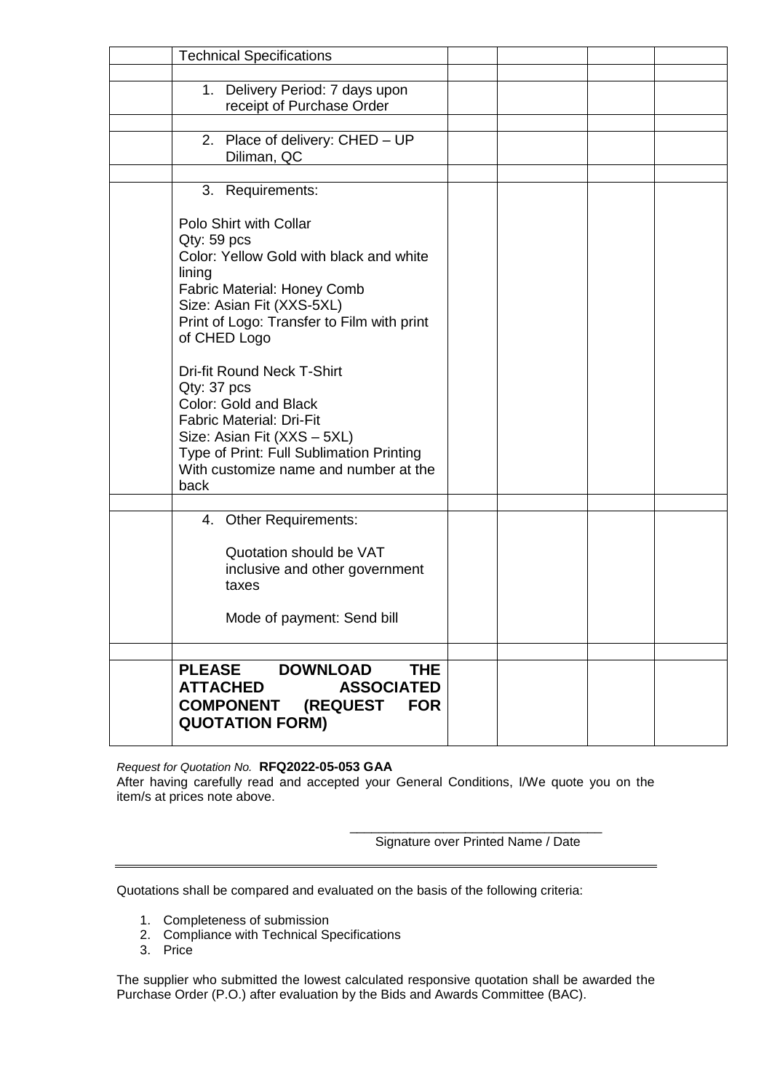| <b>Technical Specifications</b>                                                   |  |  |
|-----------------------------------------------------------------------------------|--|--|
|                                                                                   |  |  |
| 1. Delivery Period: 7 days upon                                                   |  |  |
| receipt of Purchase Order                                                         |  |  |
| 2. Place of delivery: CHED - UP                                                   |  |  |
| Diliman, QC                                                                       |  |  |
|                                                                                   |  |  |
| 3. Requirements:                                                                  |  |  |
|                                                                                   |  |  |
| Polo Shirt with Collar                                                            |  |  |
| $Qty: 59$ pcs<br>Color: Yellow Gold with black and white                          |  |  |
| lining                                                                            |  |  |
| <b>Fabric Material: Honey Comb</b>                                                |  |  |
| Size: Asian Fit (XXS-5XL)                                                         |  |  |
| Print of Logo: Transfer to Film with print                                        |  |  |
| of CHED Logo                                                                      |  |  |
| <b>Dri-fit Round Neck T-Shirt</b>                                                 |  |  |
| Qty: 37 pcs                                                                       |  |  |
| Color: Gold and Black                                                             |  |  |
| <b>Fabric Material: Dri-Fit</b>                                                   |  |  |
| Size: Asian Fit (XXS - 5XL)                                                       |  |  |
| Type of Print: Full Sublimation Printing<br>With customize name and number at the |  |  |
| back                                                                              |  |  |
|                                                                                   |  |  |
| 4. Other Requirements:                                                            |  |  |
|                                                                                   |  |  |
| Quotation should be VAT                                                           |  |  |
| inclusive and other government                                                    |  |  |
| taxes                                                                             |  |  |
| Mode of payment: Send bill                                                        |  |  |
|                                                                                   |  |  |
|                                                                                   |  |  |
| <b>THE</b><br><b>PLEASE</b><br><b>DOWNLOAD</b>                                    |  |  |
| <b>ATTACHED</b><br><b>ASSOCIATED</b>                                              |  |  |
| <b>COMPONENT (REQUEST</b><br><b>FOR</b>                                           |  |  |
| <b>QUOTATION FORM)</b>                                                            |  |  |

*Request for Quotation No.* **RFQ2022-05-053 GAA**

After having carefully read and accepted your General Conditions, I/We quote you on the item/s at prices note above.

> \_\_\_\_\_\_\_\_\_\_\_\_\_\_\_\_\_\_\_\_\_\_\_\_\_\_\_\_\_\_\_\_\_\_\_ Signature over Printed Name / Date

Quotations shall be compared and evaluated on the basis of the following criteria:

- 1. Completeness of submission
- 2. Compliance with Technical Specifications
- 3. Price

The supplier who submitted the lowest calculated responsive quotation shall be awarded the Purchase Order (P.O.) after evaluation by the Bids and Awards Committee (BAC).